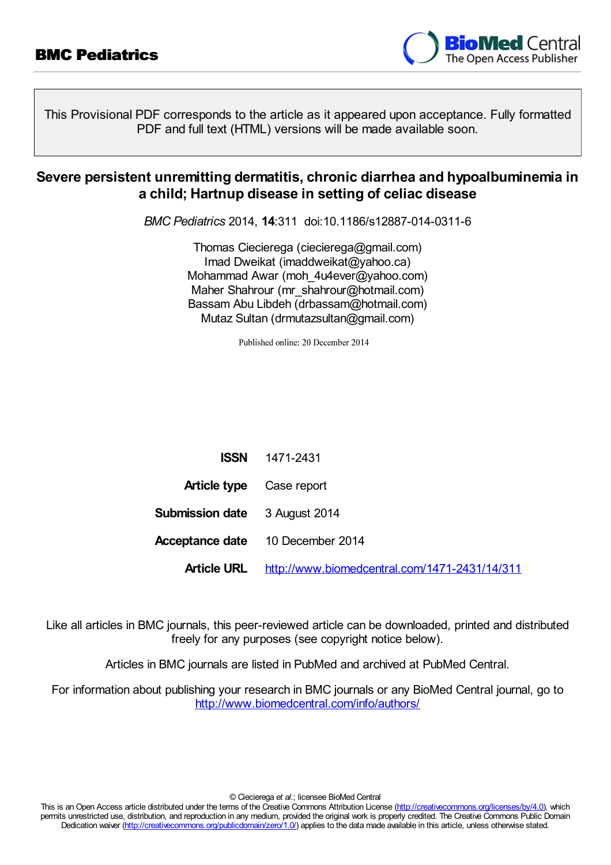

This Provisional PDF corresponds to the article as it appeared upon acceptance. Fully formatted PDF and full text (HTML) versions will be made available soon.

### **Severe persistent unremitting dermatitis, chronic diarrhea and hypoalbuminemia in a child; Hartnup disease in setting of celiac disease**

*BMC Pediatrics* 2014, **14**:311 doi:10.1186/s12887-014-0311-6

Thomas Ciecierega (ciecierega@gmail.com) Imad Dweikat (imaddweikat@yahoo.ca) Mohammad Awar (moh\_4u4ever@yahoo.com) Maher Shahrour (mr\_shahrour@hotmail.com) Bassam Abu Libdeh (drbassam@hotmail.com) Mutaz Sultan (drmutazsultan@gmail.com)

Published online: 20 December 2014

| <b>ISSN</b>                          | 1471-2431                                     |
|--------------------------------------|-----------------------------------------------|
| <b>Article type</b> Case report      |                                               |
| <b>Submission date</b> 3 August 2014 |                                               |
|                                      | <b>Acceptance date</b> 10 December 2014       |
| <b>Article URL</b>                   | http://www.biomedcentral.com/1471-2431/14/311 |

Like all articles in BMC journals, this peer-reviewed article can be downloaded, printed and distributed freely for any purposes (see copyright notice below).

Articles in BMC journals are listed in PubMed and archived at PubMed Central.

For information about publishing your research in BMC journals or any BioMed Central journal, go to <http://www.biomedcentral.com/info/authors/>

© Ciecierega *et al.*; licensee BioMed Central

This is an Open Access article distributed under the terms of the Creative Commons Attribution License [\(http://creativecommons.org/licenses/by/4.0](http://creativecommons.org/licenses/by/4.0)), which permits unrestricted use, distribution, and reproduction in any medium, provided the original work is properly credited. The Creative Commons Public Domain Dedication waiver [\(http://creativecommons.org/publicdomain/zero/1.0/](http://creativecommons.org/publicdomain/zero/1.0/)) applies to the data made available in this article, unless otherwise stated.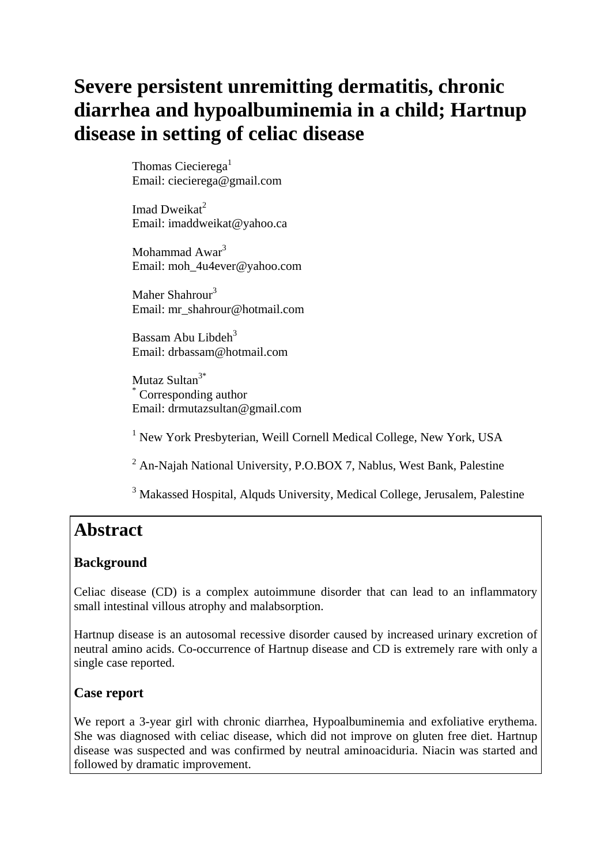# **Severe persistent unremitting dermatitis, chronic diarrhea and hypoalbuminemia in a child; Hartnup disease in setting of celiac disease**

Thomas Ciecierega<sup>1</sup> Email: ciecierega@gmail.com

Imad Dweikat $2$ Email: imaddweikat@yahoo.ca

Mohammad Awar<sup>3</sup> Email: moh\_4u4ever@yahoo.com

Maher Shahrour<sup>3</sup> Email: mr\_shahrour@hotmail.com

Bassam Abu Libdeh $3$ Email: drbassam@hotmail.com

Mutaz Sultan3\* Corresponding author Email: drmutazsultan@gmail.com

<sup>1</sup> New York Presbyterian, Weill Cornell Medical College, New York, USA

<sup>2</sup> An-Najah National University, P.O.BOX 7, Nablus, West Bank, Palestine

<sup>3</sup> Makassed Hospital, Alquds University, Medical College, Jerusalem, Palestine

### **Abstract**

### **Background**

Celiac disease (CD) is a complex autoimmune disorder that can lead to an inflammatory small intestinal villous atrophy and malabsorption.

Hartnup disease is an autosomal recessive disorder caused by increased urinary excretion of neutral amino acids. Co-occurrence of Hartnup disease and CD is extremely rare with only a single case reported.

### **Case report**

We report a 3-year girl with chronic diarrhea, Hypoalbuminemia and exfoliative erythema. She was diagnosed with celiac disease, which did not improve on gluten free diet. Hartnup disease was suspected and was confirmed by neutral aminoaciduria. Niacin was started and followed by dramatic improvement.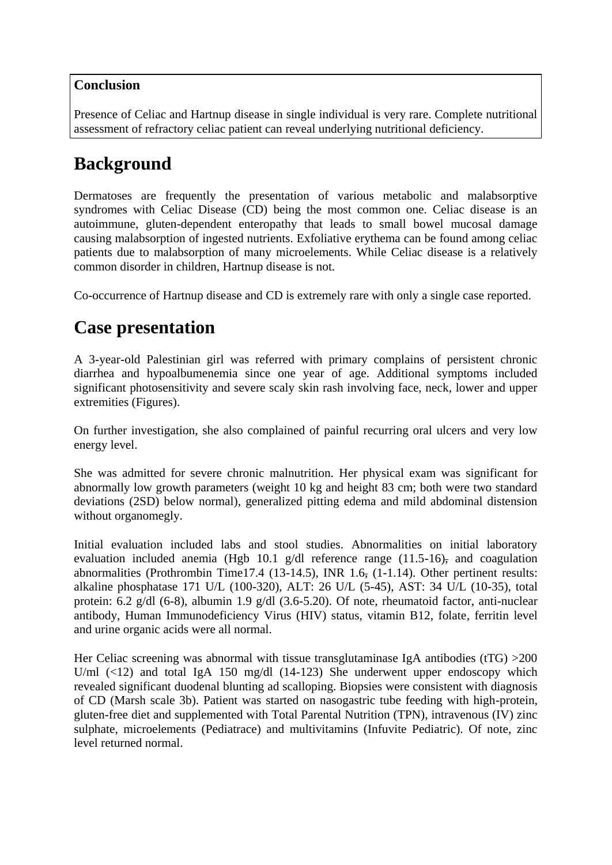### **Conclusion**

Presence of Celiac and Hartnup disease in single individual is very rare. Complete nutritional assessment of refractory celiac patient can reveal underlying nutritional deficiency.

## **Background**

Dermatoses are frequently the presentation of various metabolic and malabsorptive syndromes with Celiac Disease (CD) being the most common one. Celiac disease is an autoimmune, gluten-dependent enteropathy that leads to small bowel mucosal damage causing malabsorption of ingested nutrients. Exfoliative erythema can be found among celiac patients due to malabsorption of many microelements. While Celiac disease is a relatively common disorder in children, Hartnup disease is not.

Co-occurrence of Hartnup disease and CD is extremely rare with only a single case reported.

### **Case presentation**

A 3-year-old Palestinian girl was referred with primary complains of persistent chronic diarrhea and hypoalbumenemia since one year of age. Additional symptoms included significant photosensitivity and severe scaly skin rash involving face, neck, lower and upper extremities (Figures).

On further investigation, she also complained of painful recurring oral ulcers and very low energy level.

She was admitted for severe chronic malnutrition. Her physical exam was significant for abnormally low growth parameters (weight 10 kg and height 83 cm; both were two standard deviations (2SD) below normal), generalized pitting edema and mild abdominal distension without organomegly.

Initial evaluation included labs and stool studies. Abnormalities on initial laboratory evaluation included anemia (Hgb 10.1 g/dl reference range (11.5-16), and coagulation abnormalities (Prothrombin Time17.4 (13-14.5), INR 1.6, (1-1.14). Other pertinent results: alkaline phosphatase 171 U/L (100-320), ALT: 26 U/L (5-45), AST: 34 U/L (10-35), total protein: 6.2 g/dl (6-8), albumin 1.9 g/dl (3.6-5.20). Of note, rheumatoid factor, anti-nuclear antibody, Human Immunodeficiency Virus (HIV) status, vitamin B12, folate, ferritin level and urine organic acids were all normal.

Her Celiac screening was abnormal with tissue transglutaminase IgA antibodies (tTG) >200 U/ml (<12) and total IgA 150 mg/dl (14-123) She underwent upper endoscopy which revealed significant duodenal blunting ad scalloping. Biopsies were consistent with diagnosis of CD (Marsh scale 3b). Patient was started on nasogastric tube feeding with high-protein, gluten-free diet and supplemented with Total Parental Nutrition (TPN), intravenous (IV) zinc sulphate, microelements (Pediatrace) and multivitamins (Infuvite Pediatric). Of note, zinc level returned normal.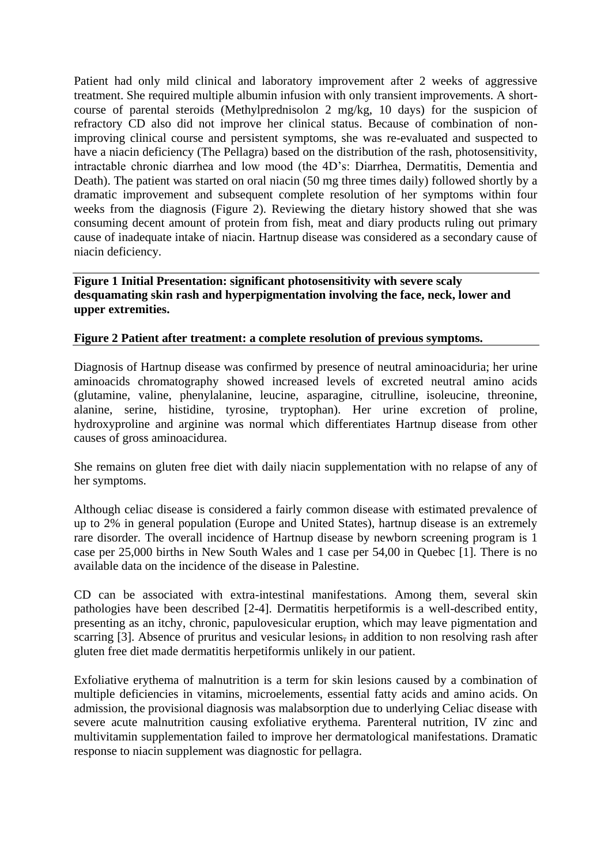Patient had only mild clinical and laboratory improvement after 2 weeks of aggressive treatment. She required multiple albumin infusion with only transient improvements. A shortcourse of parental steroids (Methylprednisolon 2 mg/kg, 10 days) for the suspicion of refractory CD also did not improve her clinical status. Because of combination of nonimproving clinical course and persistent symptoms, she was re-evaluated and suspected to have a niacin deficiency (The Pellagra) based on the distribution of the rash, photosensitivity, intractable chronic diarrhea and low mood (the 4D's: Diarrhea, Dermatitis, Dementia and Death). The patient was started on oral niacin (50 mg three times daily) followed shortly by a dramatic improvement and subsequent complete resolution of her symptoms within four weeks from the diagnosis (Figure 2). Reviewing the dietary history showed that she was consuming decent amount of protein from fish, meat and diary products ruling out primary cause of inadequate intake of niacin. Hartnup disease was considered as a secondary cause of niacin deficiency.

**Figure 1 Initial Presentation: significant photosensitivity with severe scaly desquamating skin rash and hyperpigmentation involving the face, neck, lower and upper extremities.**

#### **Figure 2 Patient after treatment: a complete resolution of previous symptoms.**

Diagnosis of Hartnup disease was confirmed by presence of neutral aminoaciduria; her urine aminoacids chromatography showed increased levels of excreted neutral amino acids (glutamine, valine, phenylalanine, leucine, asparagine, citrulline, isoleucine, threonine, alanine, serine, histidine, tyrosine, tryptophan). Her urine excretion of proline, hydroxyproline and arginine was normal which differentiates Hartnup disease from other causes of gross aminoacidurea.

She remains on gluten free diet with daily niacin supplementation with no relapse of any of her symptoms.

Although celiac disease is considered a fairly common disease with estimated prevalence of up to 2% in general population (Europe and United States), hartnup disease is an extremely rare disorder. The overall incidence of Hartnup disease by newborn screening program is 1 case per 25,000 births in New South Wales and 1 case per 54,00 in Quebec [1]. There is no available data on the incidence of the disease in Palestine.

CD can be associated with extra-intestinal manifestations. Among them, several skin pathologies have been described [2-4]. Dermatitis herpetiformis is a well-described entity, presenting as an itchy, chronic, papulovesicular eruption, which may leave pigmentation and scarring [3]. Absence of pruritus and vesicular lesions, in addition to non resolving rash after gluten free diet made dermatitis herpetiformis unlikely in our patient.

Exfoliative erythema of malnutrition is a term for skin lesions caused by a combination of multiple deficiencies in vitamins, microelements, essential fatty acids and amino acids. On admission, the provisional diagnosis was malabsorption due to underlying Celiac disease with severe acute malnutrition causing exfoliative erythema. Parenteral nutrition, IV zinc and multivitamin supplementation failed to improve her dermatological manifestations. Dramatic response to niacin supplement was diagnostic for pellagra.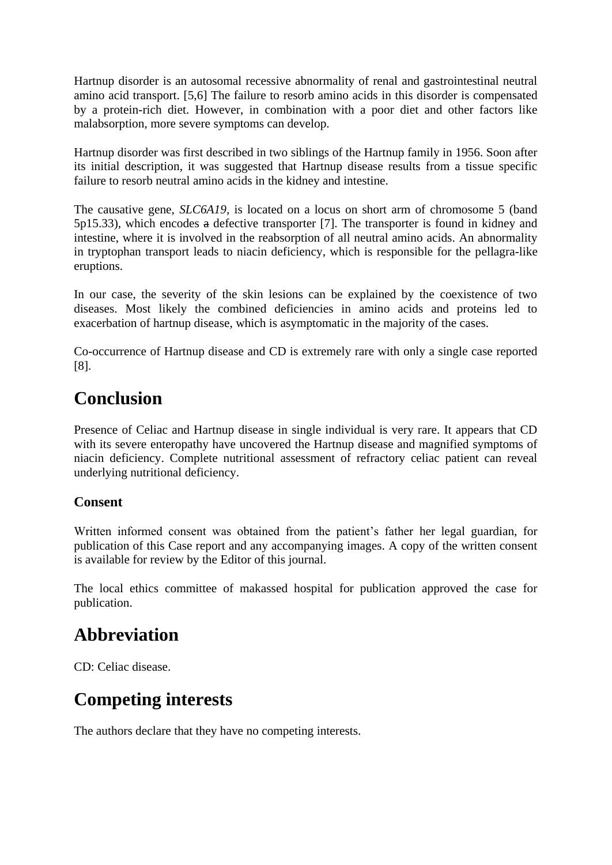Hartnup disorder is an autosomal recessive abnormality of renal and gastrointestinal neutral amino acid transport. [5,6] The failure to resorb amino acids in this disorder is compensated by a protein-rich diet. However, in combination with a poor diet and other factors like malabsorption, more severe symptoms can develop.

Hartnup disorder was first described in two siblings of the Hartnup family in 1956. Soon after its initial description, it was suggested that Hartnup disease results from a tissue specific failure to resorb neutral amino acids in the kidney and intestine.

The causative gene, *SLC6A19,* is located on a locus on short arm of chromosome 5 (band 5p15.33), which encodes a defective transporter [7]. The transporter is found in kidney and intestine, where it is involved in the reabsorption of all neutral amino acids. An abnormality in tryptophan transport leads to niacin deficiency, which is responsible for the pellagra-like eruptions.

In our case, the severity of the skin lesions can be explained by the coexistence of two diseases. Most likely the combined deficiencies in amino acids and proteins led to exacerbation of hartnup disease, which is asymptomatic in the majority of the cases.

Co-occurrence of Hartnup disease and CD is extremely rare with only a single case reported [8].

### **Conclusion**

Presence of Celiac and Hartnup disease in single individual is very rare. It appears that CD with its severe enteropathy have uncovered the Hartnup disease and magnified symptoms of niacin deficiency. Complete nutritional assessment of refractory celiac patient can reveal underlying nutritional deficiency.

### **Consent**

Written informed consent was obtained from the patient's father her legal guardian, for publication of this Case report and any accompanying images. A copy of the written consent is available for review by the Editor of this journal.

The local ethics committee of makassed hospital for publication approved the case for publication.

## **Abbreviation**

CD: Celiac disease.

## **Competing interests**

The authors declare that they have no competing interests.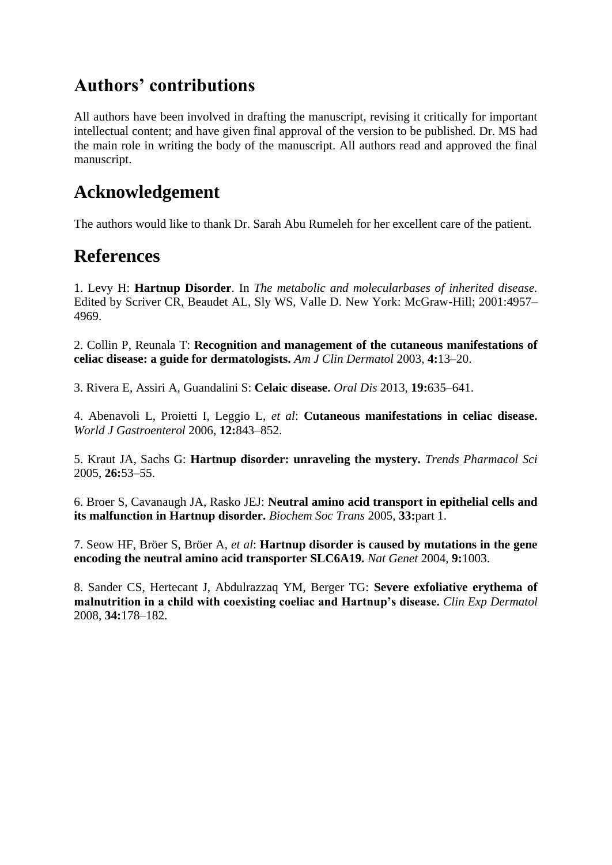## **Authors' contributions**

All authors have been involved in drafting the manuscript, revising it critically for important intellectual content; and have given final approval of the version to be published. Dr. MS had the main role in writing the body of the manuscript. All authors read and approved the final manuscript.

## **Acknowledgement**

The authors would like to thank Dr. Sarah Abu Rumeleh for her excellent care of the patient.

### **References**

1. Levy H: **Hartnup Disorder**. In *The metabolic and molecularbases of inherited disease.* Edited by Scriver CR, Beaudet AL, Sly WS, Valle D. New York: McGraw-Hill; 2001:4957– 4969.

2. Collin P, Reunala T: **Recognition and management of the cutaneous manifestations of celiac disease: a guide for dermatologists.** *Am J Clin Dermatol* 2003, **4:**13–20.

3. Rivera E, Assiri A, Guandalini S: **Celaic disease.** *Oral Dis* 2013, **19:**635–641.

4. Abenavoli L, Proietti I, Leggio L, *et al*: **Cutaneous manifestations in celiac disease.** *World J Gastroenterol* 2006, **12:**843–852.

5. Kraut JA, Sachs G: **Hartnup disorder: unraveling the mystery.** *Trends Pharmacol Sci* 2005, **26:**53–55.

6. Broer S, Cavanaugh JA, Rasko JEJ: **Neutral amino acid transport in epithelial cells and its malfunction in Hartnup disorder.** *Biochem Soc Trans* 2005, **33:**part 1.

7. Seow HF, Bröer S, Bröer A, *et al*: **Hartnup disorder is caused by mutations in the gene encoding the neutral amino acid transporter SLC6A19.** *Nat Genet* 2004, **9:**1003.

8. Sander CS, Hertecant J, Abdulrazzaq YM, Berger TG: **Severe exfoliative erythema of malnutrition in a child with coexisting coeliac and Hartnup's disease.** *Clin Exp Dermatol* 2008, **34:**178–182.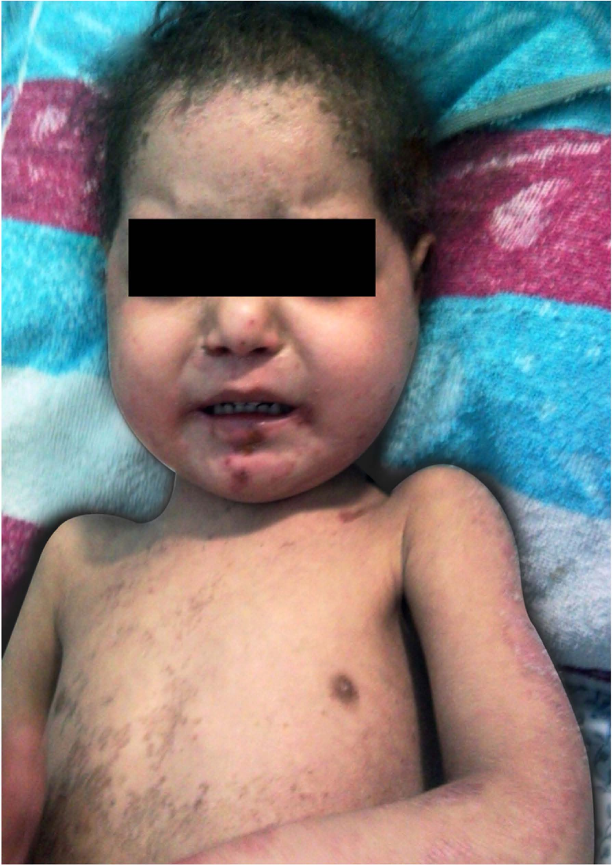